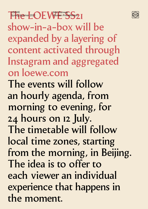



show-in-a-box will be expanded by a layering of content activated through Instagram and aggregated on loewe.com The events will follow an hourly agenda, from morning to evening, for 24 hours on 12 July. The timetable will follow local time zones, starting from the morning, in Beijing. The idea is to offer to each viewer an individual experience that happens in the moment.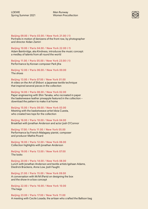

Beijing 09.00 / Paris 03.00 / New York 21.00 (-1) Portraits in motion of denizens of the front row, by photographer and director Aidan Zamiri

Beijing 10.00 / Paris 04.00 / New York 22.00 (-1)

Adam Bainbridge, aka Kindness, introduces the music concept: a medley of talents from all round the world

Beijing 11.00 / Paris 05.00 / New York 23.00 (-1) Performance by Korean composer Park Jiha

Beijing 12.00 / Paris 06.00 / New York 00.00 The shoes

Beijing 13.00 / Paris 07.00 / New York 01.00 A video on the Art of Shibori: a Japanese textile technique that inspired several pieces in the collection

Beijing 14.00 / Paris 08.00 / New York 02.00 Paper engineering with Shin Tanaka, who recreated in paper the basketweave leather pineapple featured in the collection – download the pattern to make it at home

Beijing 15.00 / Paris 09.00 / New York 03.00 Meeting with the basketweave artist Idoia Cuesta, who created two tops for the collection

Beijing 16.00 / Paris 10.00 / New York 04.00 Breakfast with Jonathan Anderson and actor Josh O'Connor

Beijing 17.00 / Paris 11.00 / New York 05.00 Performance by French-Malagasy pianist, composer and producer Mathis Picard

Beijing 18.00 / Paris 12.00 / New York 06.00 Collection highlights with Jonathan Anderson

Beijing 19.00 / Paris 13.00 / New York 07.00 The looks

Beijing 20.00 / Paris 14.00 / New York 08.00 Lunch with Jonathan Anderson and textile artists Igshaan Adams, Diedrick Brackens, Anne Low, Josh Faught.

Beijing 21.00 / Paris 15.00 / New York 09.00 A conversation with M/M (Paris) on designing the box and the show-in-a-box concept

Beijing 22.00 / Paris 16.00 / New York 10.00 The bags

Beijing 23.00 / Paris 17.00 / New York 11.00 A meeting with Cecile Losada, the artisan who crafted the Balloon bag